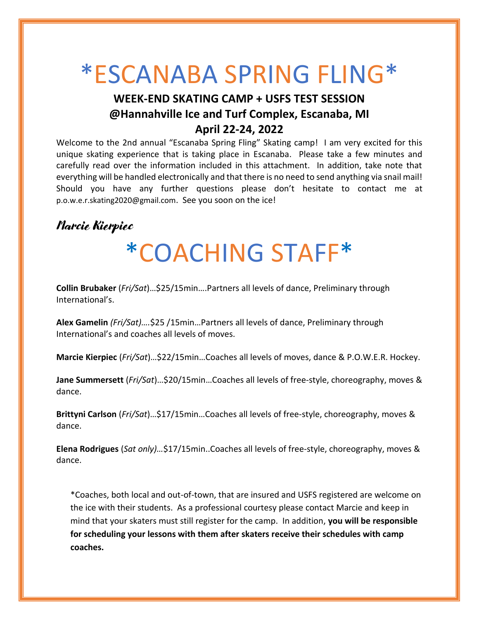# \*ESCANABA SPRING FLING\*

### **WEEK-END SKATING CAMP + USFS TEST SESSION @Hannahville Ice and Turf Complex, Escanaba, MI April 22-24, 2022**

Welcome to the 2nd annual "Escanaba Spring Fling" Skating camp! I am very excited for this unique skating experience that is taking place in Escanaba. Please take a few minutes and carefully read over the information included in this attachment. In addition, take note that everything will be handled electronically and that there is no need to send anything via snail mail! Should you have any further questions please don't hesitate to contact me at p.o.w.e.r.skating2020@gmail.com. See you soon on the ice!

### Marcie Kierpiec

# \*COACHING STAFF\*

**Collin Brubaker** (*Fri/Sat*)…\$25/15min….Partners all levels of dance, Preliminary through International's.

**Alex Gamelin** *(Fri/Sat)….*\$25 /15min…Partners all levels of dance, Preliminary through International's and coaches all levels of moves.

**Marcie Kierpiec** (*Fri/Sat*)…\$22/15min…Coaches all levels of moves, dance & P.O.W.E.R. Hockey.

**Jane Summersett** (*Fri/Sat*)…\$20/15min…Coaches all levels of free-style, choreography, moves & dance.

**Brittyni Carlson** (*Fri/Sat*)…\$17/15min…Coaches all levels of free-style, choreography, moves & dance.

**Elena Rodrigues** (*Sat only)…*\$17/15min..Coaches all levels of free-style, choreography, moves & dance.

\*Coaches, both local and out-of-town, that are insured and USFS registered are welcome on the ice with their students. As a professional courtesy please contact Marcie and keep in mind that your skaters must still register for the camp. In addition, **you will be responsible for scheduling your lessons with them after skaters receive their schedules with camp coaches.**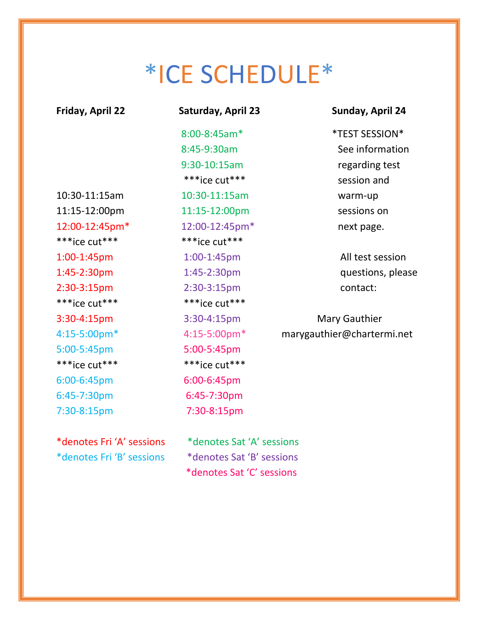# \*ICE SCHEDULE\*

| Friday, April 22    | <b>Saturday, April 23</b> | Sunday, April 24             |
|---------------------|---------------------------|------------------------------|
|                     | 8:00-8:45am*              | <i><b>*TEST SESSION*</b></i> |
|                     | 8:45-9:30am               | See information              |
|                     | 9:30-10:15am              | regarding test               |
|                     | ***ice cut***             | session and                  |
| 10:30-11:15am       | 10:30-11:15am             | warm-up                      |
| 11:15-12:00pm       | 11:15-12:00pm             | sessions on                  |
| 12:00-12:45pm*      | 12:00-12:45pm*            | next page.                   |
| ***ice cut***       | ***ice cut***             |                              |
| 1:00-1:45pm         | 1:00-1:45pm               | All test session             |
| 1:45-2:30pm         | 1:45-2:30pm               | questions, please            |
| 2:30-3:15pm         | 2:30-3:15pm               | contact:                     |
| $***$ ice cut $***$ | ***ice cut***             |                              |
| 3:30-4:15pm         | 3:30-4:15pm               | <b>Mary Gauthier</b>         |
| 4:15-5:00pm*        | 4:15-5:00pm*              | marygauthier@chartermi.net   |
| 5:00-5:45pm         | 5:00-5:45pm               |                              |
| ***ice cut***       | ***ice cut***             |                              |
| 6:00-6:45pm         | 6:00-6:45pm               |                              |
| 6:45-7:30pm         | 6:45-7:30pm               |                              |
| 7:30-8:15pm         | 7:30-8:15pm               |                              |
|                     |                           |                              |

\*denotes Fri 'A' sessions \*denotes Sat 'A' sessions

\*denotes Fri 'B' sessions \*denotes Sat 'B' sessions \*denotes Sat 'C' sessions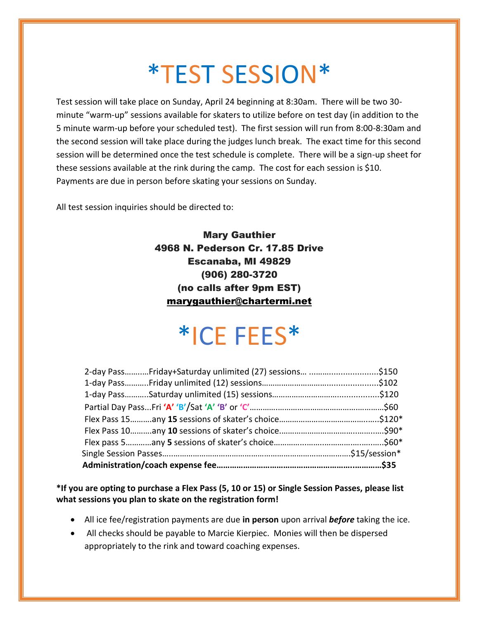# \*TEST SESSION\*

Test session will take place on Sunday, April 24 beginning at 8:30am. There will be two 30 minute "warm-up" sessions available for skaters to utilize before on test day (in addition to the 5 minute warm-up before your scheduled test). The first session will run from 8:00-8:30am and the second session will take place during the judges lunch break. The exact time for this second session will be determined once the test schedule is complete. There will be a sign-up sheet for these sessions available at the rink during the camp. The cost for each session is \$10. Payments are due in person before skating your sessions on Sunday.

All test session inquiries should be directed to:

Mary Gauthier 4968 N. Pederson Cr. 17.85 Drive Escanaba, MI 49829 (906) 280-3720 (no calls after 9pm EST) [marygauthier@chartermi.net](mailto:marygauthier@chartermi.net)

## \*ICE FEES\*

| 2-day PassFriday+Saturday unlimited (27) sessions \$150 |  |
|---------------------------------------------------------|--|
|                                                         |  |
|                                                         |  |
|                                                         |  |
|                                                         |  |
|                                                         |  |
|                                                         |  |
|                                                         |  |
|                                                         |  |

**\*If you are opting to purchase a Flex Pass (5, 10 or 15) or Single Session Passes, please list what sessions you plan to skate on the registration form!** 

- All ice fee/registration payments are due **in person** upon arrival *before* taking the ice.
- All checks should be payable to Marcie Kierpiec. Monies will then be dispersed appropriately to the rink and toward coaching expenses.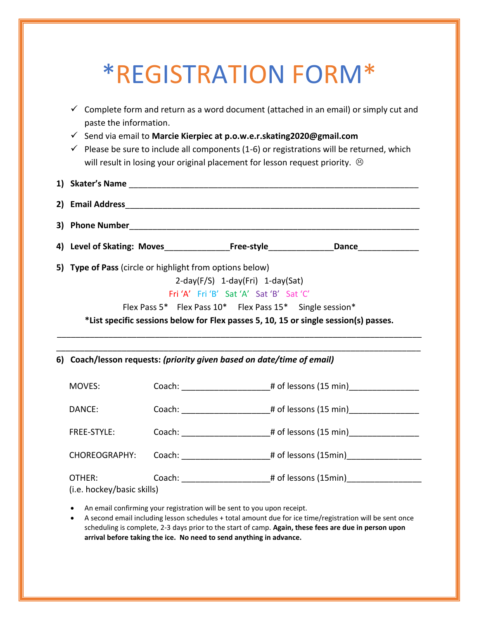### \*REGISTRATION FORM\*  $\checkmark$  Complete form and return as a word document (attached in an email) or simply cut and paste the information. ✓ Send via email to **Marcie Kierpiec at p.o.w.e.r.skating2020@gmail.com**  $\checkmark$  Please be sure to include all components (1-6) or registrations will be returned, which will result in losing your original placement for lesson request priority.  $\circledcirc$ **1) Skater's Name** \_\_\_\_\_\_\_\_\_\_\_\_\_\_\_\_\_\_\_\_\_\_\_\_\_\_\_\_\_\_\_\_\_\_\_\_\_\_\_\_\_\_\_\_\_\_\_\_\_\_\_\_\_\_\_\_\_\_\_\_\_\_ **2) Email Address**\_\_\_\_\_\_\_\_\_\_\_\_\_\_\_\_\_\_\_\_\_\_\_\_\_\_\_\_\_\_\_\_\_\_\_\_\_\_\_\_\_\_\_\_\_\_\_\_\_\_\_\_\_\_\_\_\_\_\_\_\_\_\_ **3) Phone Number**\_\_\_\_\_\_\_\_\_\_\_\_\_\_\_\_\_\_\_\_\_\_\_\_\_\_\_\_\_\_\_\_\_\_\_\_\_\_\_\_\_\_\_\_\_\_\_\_\_\_\_\_\_\_\_\_\_\_\_\_\_\_ **4) Level of Skating: Moves**\_\_\_\_\_\_\_\_\_\_\_\_\_\_**Free-style**\_\_\_\_\_\_\_\_\_\_\_\_\_\_**Dance**\_\_\_\_\_\_\_\_\_\_\_\_\_ **5) Type of Pass** (circle or highlight from options below) 2-day(F/S) 1-day(Fri) 1-day(Sat) Fri 'A' Fri 'B' Sat 'A' Sat 'B' Sat 'C' Flex Pass 5\* Flex Pass 10\* Flex Pass 15\* Single session\* **\*List specific sessions below for Flex passes 5, 10, 15 or single session(s) passes.** \_\_\_\_\_\_\_\_\_\_\_\_\_\_\_\_\_\_\_\_\_\_\_\_\_\_\_\_\_\_\_\_\_\_\_\_\_\_\_\_\_\_\_\_\_\_\_\_\_\_\_\_\_\_\_\_\_\_\_\_\_\_\_\_\_\_\_\_\_\_\_\_\_\_\_\_\_\_ \_\_\_\_\_\_\_\_\_\_\_\_\_\_\_\_\_\_\_\_\_\_\_\_\_\_\_\_\_\_\_\_\_\_\_\_\_\_\_\_\_\_\_\_\_\_\_\_\_\_\_\_\_\_\_\_\_\_\_\_\_\_\_\_\_\_\_\_\_\_\_\_\_\_\_\_\_\_ **6) Coach/lesson requests:** *(priority given based on date/time of email)* MOVES: Coach:  $\qquad \qquad$  Coach:  $\qquad \qquad$  # of lessons (15 min) DANCE: Coach:  $\qquad \qquad$   $\qquad$   $\qquad$   $\qquad$   $\qquad$   $\qquad$   $\qquad$   $\qquad$   $\qquad$   $\qquad$   $\qquad$   $\qquad$   $\qquad$   $\qquad$   $\qquad$   $\qquad$   $\qquad$   $\qquad$   $\qquad$   $\qquad$   $\qquad$   $\qquad$   $\qquad$   $\qquad$   $\qquad$   $\qquad$   $\qquad$   $\qquad$   $\qquad$   $\qquad$   $\qquad$   $\qquad$   $\qquad$   $\qquad$  FREE-STYLE: Coach: \_\_\_\_\_\_\_\_\_\_\_\_\_\_\_\_\_\_\_# of lessons (15 min)\_\_\_\_\_\_\_\_\_\_\_\_\_\_\_ CHOREOGRAPHY: Coach: \_\_\_\_\_\_\_\_\_\_\_\_\_\_\_\_\_\_\_\_\_# of lessons (15min)\_\_\_\_\_\_\_\_\_\_\_\_\_\_\_\_\_\_ OTHER: Coach:  $\qquad \qquad$  Coach:  $\qquad \qquad$  # of lessons (15min) (i.e. hockey/basic skills)

- An email confirming your registration will be sent to you upon receipt.
- A second email including lesson schedules + total amount due for ice time/registration will be sent once scheduling is complete, 2-3 days prior to the start of camp. **Again, these fees are due in person upon arrival before taking the ice. No need to send anything in advance.**